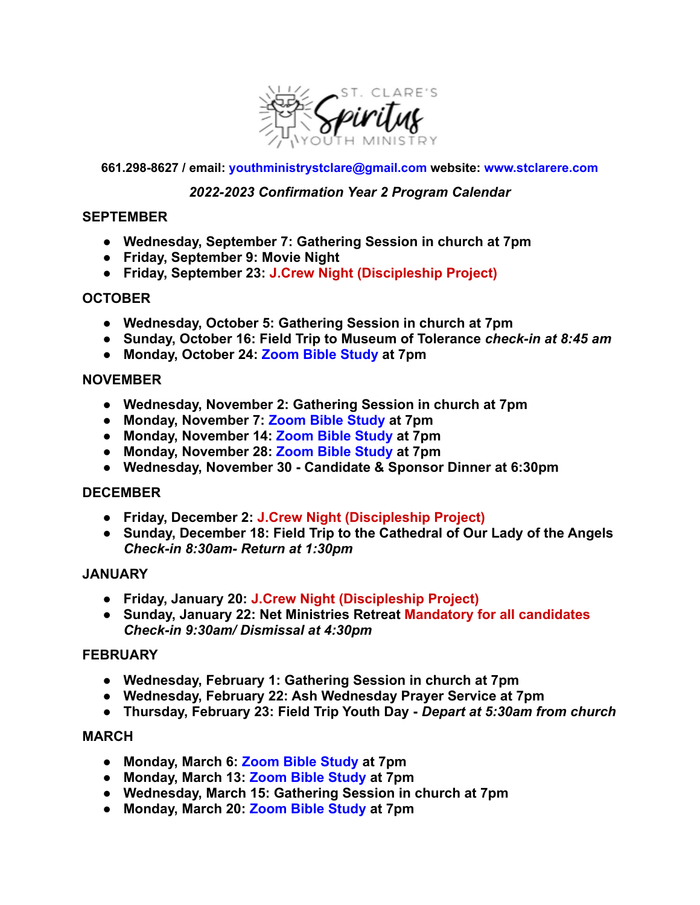

#### **661.298-8627 / email: [youthministrystclare@gmail.com](mailto:youthministrystclare@gmail.com) website: www.stclarere.com**

# *2022-2023 Confirmation Year 2 Program Calendar*

## **SEPTEMBER**

- **● Wednesday, September 7: Gathering Session in church at 7pm**
- **● Friday, September 9: Movie Night**
- **● Friday, September 23: J.Crew Night (Discipleship Project)**

# **OCTOBER**

- **● Wednesday, October 5: Gathering Session in church at 7pm**
- **● Sunday, October 16: Field Trip to Museum of Tolerance** *check-in at 8:45 am*
- **● Monday, October 24: Zoom Bible Study at 7pm**

#### **NOVEMBER**

- **● Wednesday, November 2: Gathering Session in church at 7pm**
- **● Monday, November 7: Zoom Bible Study at 7pm**
- **● Monday, November 14: Zoom Bible Study at 7pm**
- **● Monday, November 28: Zoom Bible Study at 7pm**
- **● Wednesday, November 30 Candidate & Sponsor Dinner at 6:30pm**

## **DECEMBER**

- **● Friday, December 2: J.Crew Night (Discipleship Project)**
- **● Sunday, December 18: Field Trip to the Cathedral of Our Lady of the Angels** *Check-in 8:30am- Return at 1:30pm*

## **JANUARY**

- **● Friday, January 20: J.Crew Night (Discipleship Project)**
- **● Sunday, January 22: Net Ministries Retreat Mandatory for all candidates** *Check-in 9:30am/ Dismissal at 4:30pm*

## **FEBRUARY**

- **● Wednesday, February 1: Gathering Session in church at 7pm**
- **● Wednesday, February 22: Ash Wednesday Prayer Service at 7pm**
- **● Thursday, February 23: Field Trip Youth Day -** *Depart at 5:30am from church*

#### **MARCH**

- **● Monday, March 6: Zoom Bible Study at 7pm**
- **● Monday, March 13: Zoom Bible Study at 7pm**
- **● Wednesday, March 15: Gathering Session in church at 7pm**
- **● Monday, March 20: Zoom Bible Study at 7pm**